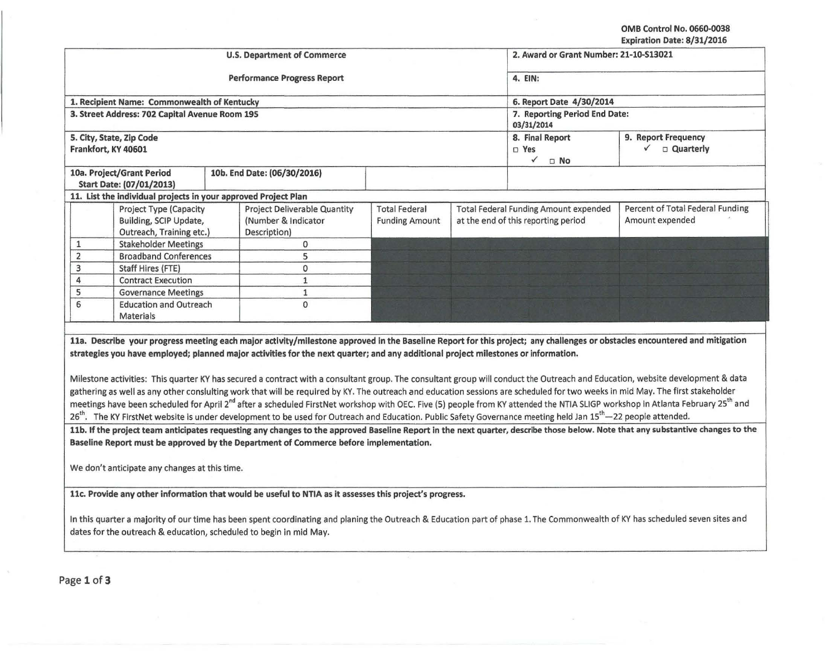OMB Control No. 0660·0038 Expiration Date: 8/31/2016

|                                                                                      |                                                                                                                                                                                                                                                                                                                                                                                                                                                                                                                                                                                                                                                                                                                                                                                                                                                                                                                                                                                                                                                                                                                                                                                                                                                                                                                                                                                                                       | <b>U.S. Department of Commerce</b>                                         | 2. Award or Grant Number: 21-10-S13021                                                                        |                                                                              |                                                     |  |
|--------------------------------------------------------------------------------------|-----------------------------------------------------------------------------------------------------------------------------------------------------------------------------------------------------------------------------------------------------------------------------------------------------------------------------------------------------------------------------------------------------------------------------------------------------------------------------------------------------------------------------------------------------------------------------------------------------------------------------------------------------------------------------------------------------------------------------------------------------------------------------------------------------------------------------------------------------------------------------------------------------------------------------------------------------------------------------------------------------------------------------------------------------------------------------------------------------------------------------------------------------------------------------------------------------------------------------------------------------------------------------------------------------------------------------------------------------------------------------------------------------------------------|----------------------------------------------------------------------------|---------------------------------------------------------------------------------------------------------------|------------------------------------------------------------------------------|-----------------------------------------------------|--|
|                                                                                      |                                                                                                                                                                                                                                                                                                                                                                                                                                                                                                                                                                                                                                                                                                                                                                                                                                                                                                                                                                                                                                                                                                                                                                                                                                                                                                                                                                                                                       | <b>Performance Progress Report</b>                                         | 4. EIN:                                                                                                       |                                                                              |                                                     |  |
|                                                                                      | 1. Recipient Name: Commonwealth of Kentucky                                                                                                                                                                                                                                                                                                                                                                                                                                                                                                                                                                                                                                                                                                                                                                                                                                                                                                                                                                                                                                                                                                                                                                                                                                                                                                                                                                           |                                                                            | 6. Report Date 4/30/2014                                                                                      |                                                                              |                                                     |  |
|                                                                                      | 3. Street Address: 702 Capital Avenue Room 195                                                                                                                                                                                                                                                                                                                                                                                                                                                                                                                                                                                                                                                                                                                                                                                                                                                                                                                                                                                                                                                                                                                                                                                                                                                                                                                                                                        |                                                                            | 7. Reporting Period End Date:<br>03/31/2014                                                                   |                                                                              |                                                     |  |
|                                                                                      | 5. City, State, Zip Code<br>Frankfort, KY 40601                                                                                                                                                                                                                                                                                                                                                                                                                                                                                                                                                                                                                                                                                                                                                                                                                                                                                                                                                                                                                                                                                                                                                                                                                                                                                                                                                                       |                                                                            | 8. Final Report<br>9. Report Frequency<br><b>Quarterly</b><br>$\checkmark$<br>□ Yes<br>$\checkmark$ $\Box$ No |                                                                              |                                                     |  |
| 10a. Project/Grant Period<br>10b. End Date: (06/30/2016)<br>Start Date: (07/01/2013) |                                                                                                                                                                                                                                                                                                                                                                                                                                                                                                                                                                                                                                                                                                                                                                                                                                                                                                                                                                                                                                                                                                                                                                                                                                                                                                                                                                                                                       |                                                                            |                                                                                                               |                                                                              |                                                     |  |
|                                                                                      | 11. List the individual projects in your approved Project Plan                                                                                                                                                                                                                                                                                                                                                                                                                                                                                                                                                                                                                                                                                                                                                                                                                                                                                                                                                                                                                                                                                                                                                                                                                                                                                                                                                        |                                                                            |                                                                                                               |                                                                              |                                                     |  |
|                                                                                      | <b>Project Type (Capacity</b><br>Building, SCIP Update,<br>Outreach, Training etc.)                                                                                                                                                                                                                                                                                                                                                                                                                                                                                                                                                                                                                                                                                                                                                                                                                                                                                                                                                                                                                                                                                                                                                                                                                                                                                                                                   | <b>Project Deliverable Quantity</b><br>(Number & Indicator<br>Description) | <b>Total Federal</b><br><b>Funding Amount</b>                                                                 | Total Federal Funding Amount expended<br>at the end of this reporting period | Percent of Total Federal Funding<br>Amount expended |  |
| $\mathbf{1}$                                                                         | <b>Stakeholder Meetings</b>                                                                                                                                                                                                                                                                                                                                                                                                                                                                                                                                                                                                                                                                                                                                                                                                                                                                                                                                                                                                                                                                                                                                                                                                                                                                                                                                                                                           | 0                                                                          |                                                                                                               |                                                                              |                                                     |  |
| $\overline{2}$                                                                       | <b>Broadband Conferences</b>                                                                                                                                                                                                                                                                                                                                                                                                                                                                                                                                                                                                                                                                                                                                                                                                                                                                                                                                                                                                                                                                                                                                                                                                                                                                                                                                                                                          | 5                                                                          |                                                                                                               |                                                                              |                                                     |  |
| 3                                                                                    | Staff Hires (FTE)                                                                                                                                                                                                                                                                                                                                                                                                                                                                                                                                                                                                                                                                                                                                                                                                                                                                                                                                                                                                                                                                                                                                                                                                                                                                                                                                                                                                     | 0                                                                          |                                                                                                               |                                                                              |                                                     |  |
| 4                                                                                    | <b>Contract Execution</b>                                                                                                                                                                                                                                                                                                                                                                                                                                                                                                                                                                                                                                                                                                                                                                                                                                                                                                                                                                                                                                                                                                                                                                                                                                                                                                                                                                                             | $\mathbf 1$                                                                |                                                                                                               |                                                                              |                                                     |  |
| 5                                                                                    | <b>Governance Meetings</b>                                                                                                                                                                                                                                                                                                                                                                                                                                                                                                                                                                                                                                                                                                                                                                                                                                                                                                                                                                                                                                                                                                                                                                                                                                                                                                                                                                                            | $\mathbf 1$                                                                |                                                                                                               |                                                                              |                                                     |  |
|                                                                                      |                                                                                                                                                                                                                                                                                                                                                                                                                                                                                                                                                                                                                                                                                                                                                                                                                                                                                                                                                                                                                                                                                                                                                                                                                                                                                                                                                                                                                       |                                                                            |                                                                                                               |                                                                              |                                                     |  |
| 6                                                                                    | <b>Education and Outreach</b><br>Materials                                                                                                                                                                                                                                                                                                                                                                                                                                                                                                                                                                                                                                                                                                                                                                                                                                                                                                                                                                                                                                                                                                                                                                                                                                                                                                                                                                            | $\Omega$                                                                   |                                                                                                               |                                                                              |                                                     |  |
|                                                                                      | 11a. Describe your progress meeting each major activity/milestone approved in the Baseline Report for this project; any challenges or obstacles encountered and mitigation<br>strategies you have employed; planned major activities for the next quarter; and any additional project milestones or information.<br>Milestone activities: This quarter KY has secured a contract with a consultant group. The consultant group will conduct the Outreach and Education, website development & data<br>gathering as well as any other consluiting work that will be required by KY. The outreach and education sessions are scheduled for two weeks in mid May. The first stakeholder<br>meetings have been scheduled for April 2 <sup>nd</sup> after a scheduled FirstNet workshop with OEC. Five (5) people from KY attended the NTIA SLIGP workshop in Atlanta February 25 <sup>th</sup> and<br>26 <sup>th</sup> . The KY FirstNet website is under development to be used for Outreach and Education. Public Safety Governance meeting held Jan 15 <sup>th</sup> —22 people attended.<br>11b. If the project team anticipates requesting any changes to the approved Baseline Report in the next quarter, describe those below. Note that any substantive changes to the<br>Baseline Report must be approved by the Department of Commerce before implementation.<br>We don't anticipate any changes at this time. |                                                                            |                                                                                                               |                                                                              |                                                     |  |
|                                                                                      | 11c. Provide any other information that would be useful to NTIA as it assesses this project's progress.                                                                                                                                                                                                                                                                                                                                                                                                                                                                                                                                                                                                                                                                                                                                                                                                                                                                                                                                                                                                                                                                                                                                                                                                                                                                                                               |                                                                            |                                                                                                               |                                                                              |                                                     |  |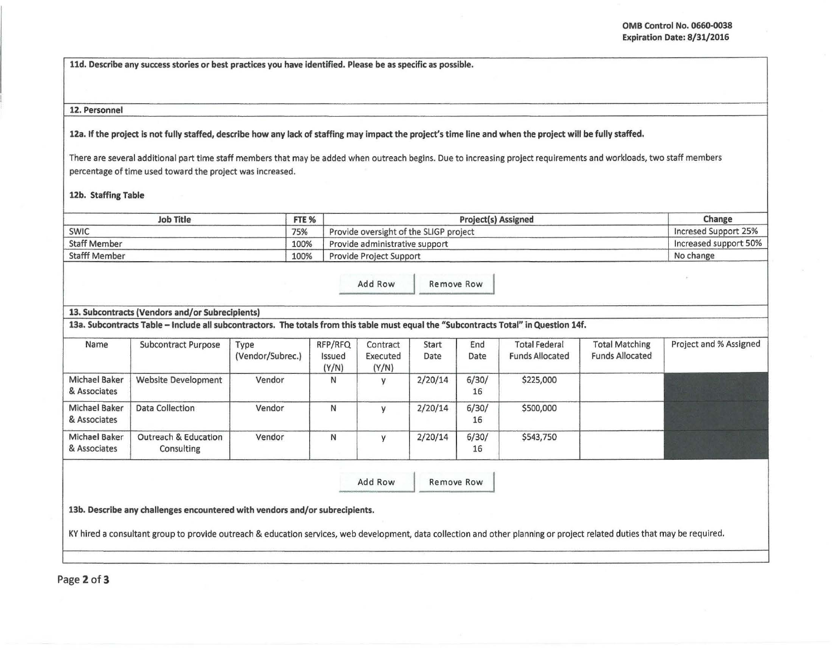lld. Describe any success stories or best practices you have identified. Please be as specific as possible.

## 12. Personnel

12a. If the project is not fully staffed, describe how any lack of staffing may impact the project's time line and when the project will be fully staffed.

There are several additional part time staff members that may be added when outreach begins. Due to increasing project requirements and workloads, two staff members percentage of time used toward the project was increased.

12b. Staffing Table

| <b>Job Title</b>     | FTE % | <b>Project(s) Assigned</b>             | Change                |
|----------------------|-------|----------------------------------------|-----------------------|
| <b>SWIC</b>          | 75%   | Provide oversight of the SLIGP project | Incresed Support 25%  |
| <b>Staff Member</b>  | 100%  | Provide administrative support         | Increased support 50% |
| <b>Stafff Member</b> | 100%  | <b>Provide Project Support</b>         | No change             |

Add Row Remove Row

## 13. Subcontracts (Vendors and/or Subrecipients)

13a. Subcontracts Table -Include all subcontractors. The totals from this table must equal the "Subcontracts Total" in Question 14f.

| Name                          | <b>Subcontract Purpose</b>                    | Type<br>(Vendor/Subrec.) | RFP/RFQ<br>Issued<br>(Y/N) | Contract<br>Executed<br>(Y/N) | Start<br>Date | End<br>Date | <b>Total Federal</b><br><b>Funds Allocated</b> | <b>Total Matching</b><br><b>Funds Allocated</b> | Project and % Assigned |
|-------------------------------|-----------------------------------------------|--------------------------|----------------------------|-------------------------------|---------------|-------------|------------------------------------------------|-------------------------------------------------|------------------------|
| Michael Baker<br>& Associates | <b>Website Development</b>                    | Vendor                   | N                          |                               | 2/20/14       | 6/30/<br>16 | \$225,000                                      |                                                 |                        |
| Michael Baker<br>& Associates | Data Collection                               | Vendor                   | N                          |                               | 2/20/14       | 6/30/<br>16 | \$500,000                                      |                                                 |                        |
| Michael Baker<br>& Associates | <b>Outreach &amp; Education</b><br>Consulting | Vendor                   | N                          |                               | 2/20/14       | 6/30/<br>16 | \$543,750                                      |                                                 |                        |

Add Row Remove Row

13b. Describe any challenges encountered with vendors and/or subrecipients.

KY hired a consultant group to provide outreach & education services, web development, data collection and other planning or project related duties that may be required.